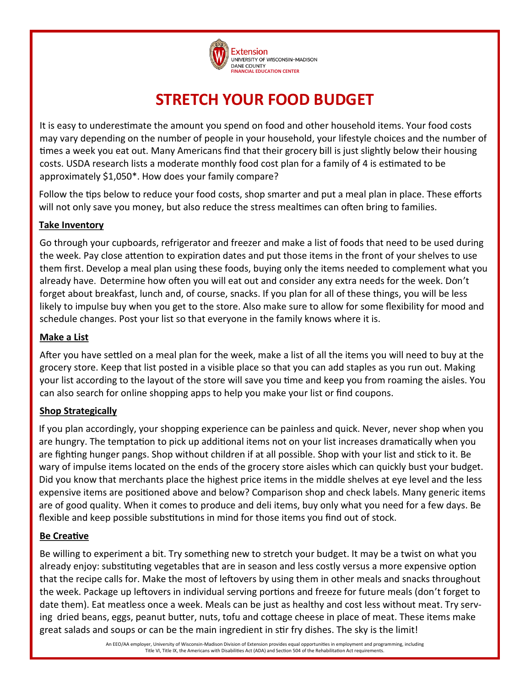

# **STRETCH YOUR FOOD BUDGET**

It is easy to underestimate the amount you spend on food and other household items. Your food costs may vary depending on the number of people in your household, your lifestyle choices and the number of times a week you eat out. Many Americans find that their grocery bill is just slightly below their housing costs. USDA research lists a moderate monthly food cost plan for a family of 4 is estimated to be approximately \$1,050\*. How does your family compare?

Follow the tips below to reduce your food costs, shop smarter and put a meal plan in place. These efforts will not only save you money, but also reduce the stress mealtimes can often bring to families.

### **Take Inventory**

Go through your cupboards, refrigerator and freezer and make a list of foods that need to be used during the week. Pay close attention to expiration dates and put those items in the front of your shelves to use them first. Develop a meal plan using these foods, buying only the items needed to complement what you already have. Determine how often you will eat out and consider any extra needs for the week. Don't forget about breakfast, lunch and, of course, snacks. If you plan for all of these things, you will be less likely to impulse buy when you get to the store. Also make sure to allow for some flexibility for mood and schedule changes. Post your list so that everyone in the family knows where it is.

### **Make a List**

After you have settled on a meal plan for the week, make a list of all the items you will need to buy at the grocery store. Keep that list posted in a visible place so that you can add staples as you run out. Making your list according to the layout of the store will save you time and keep you from roaming the aisles. You can also search for online shopping apps to help you make your list or find coupons.

# **Shop Strategically**

If you plan accordingly, your shopping experience can be painless and quick. Never, never shop when you are hungry. The temptation to pick up additional items not on your list increases dramatically when you are fighting hunger pangs. Shop without children if at all possible. Shop with your list and stick to it. Be wary of impulse items located on the ends of the grocery store aisles which can quickly bust your budget. Did you know that merchants place the highest price items in the middle shelves at eye level and the less expensive items are positioned above and below? Comparison shop and check labels. Many generic items are of good quality. When it comes to produce and deli items, buy only what you need for a few days. Be flexible and keep possible substitutions in mind for those items you find out of stock.

# **Be Creative**

Be willing to experiment a bit. Try something new to stretch your budget. It may be a twist on what you already enjoy: substituting vegetables that are in season and less costly versus a more expensive option that the recipe calls for. Make the most of leftovers by using them in other meals and snacks throughout the week. Package up leftovers in individual serving portions and freeze for future meals (don't forget to date them). Eat meatless once a week. Meals can be just as healthy and cost less without meat. Try serving dried beans, eggs, peanut butter, nuts, tofu and cottage cheese in place of meat. These items make great salads and soups or can be the main ingredient in stir fry dishes. The sky is the limit!